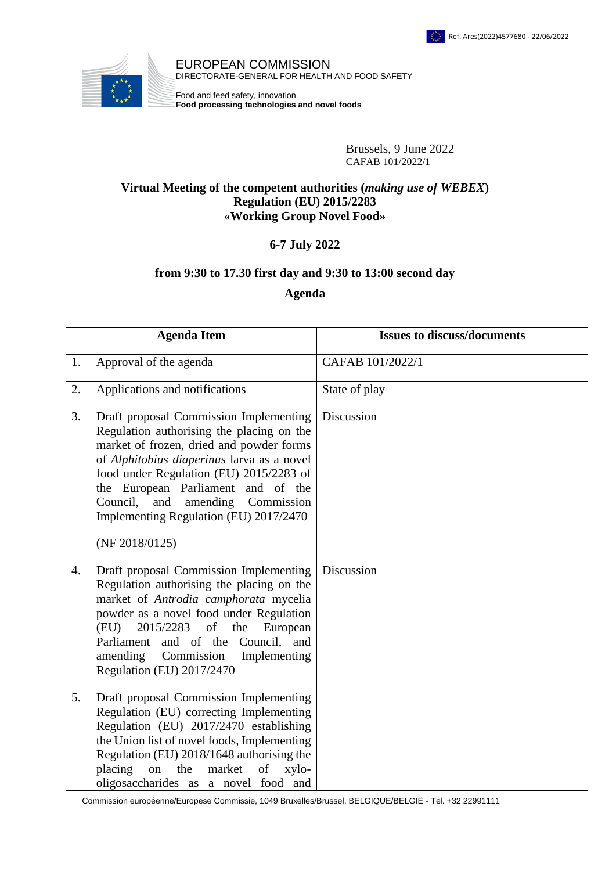

EUROPEAN COMMISSION EUROPEAN COMMISSION DIRECTORATE-GENERAL FOR HEALTH AND FOOD SAFETY

Food and feed safety, innovation **Food processing technologies and novel foods** 

> EUROPEAN COMMISSION Brussels, 9 June 2022 CAFAB 101/2022/1

## **C** Virtual Meeting of the competent authorities (*making use of WEBEX*) **Regulation (EU) 2015/2283 «Working Group Novel Food»**

## **6-7 July 2022**

## **from 9:30 to 17.30 first day and 9:30 to 13:00 second day**

## **Agenda**

|                  | <b>Agenda Item</b>                                                                                                                                                                                                                                                                                                                                                      | <b>Issues to discuss/documents</b> |
|------------------|-------------------------------------------------------------------------------------------------------------------------------------------------------------------------------------------------------------------------------------------------------------------------------------------------------------------------------------------------------------------------|------------------------------------|
| 1.               | Approval of the agenda                                                                                                                                                                                                                                                                                                                                                  | CAFAB 101/2022/1                   |
| 2.               | Applications and notifications                                                                                                                                                                                                                                                                                                                                          | State of play                      |
| 3.               | Draft proposal Commission Implementing<br>Regulation authorising the placing on the<br>market of frozen, dried and powder forms<br>of Alphitobius diaperinus larva as a novel<br>food under Regulation (EU) 2015/2283 of<br>the European Parliament and of the<br>and<br>amending<br>Council,<br>Commission<br>Implementing Regulation (EU) 2017/2470<br>(NF 2018/0125) | Discussion                         |
| $\overline{4}$ . | Draft proposal Commission Implementing<br>Regulation authorising the placing on the<br>market of Antrodia camphorata mycelia<br>powder as a novel food under Regulation<br>2015/2283<br>(EU)<br>of<br>the<br>European<br>Parliament and of the Council, and<br>Commission<br>Implementing<br>amending<br>Regulation (EU) 2017/2470                                      | Discussion                         |
| 5.               | Draft proposal Commission Implementing<br>Regulation (EU) correcting Implementing<br>Regulation (EU) 2017/2470 establishing<br>the Union list of novel foods, Implementing<br>Regulation (EU) 2018/1648 authorising the<br>placing<br>market<br>on<br>the<br>of<br>xylo-<br>oligosaccharides as a novel food and                                                        |                                    |

Commission européenne/Europese Commissie, 1049 Bruxelles/Brussel, BELGIQUE/BELGIË - Tel. +32 22991111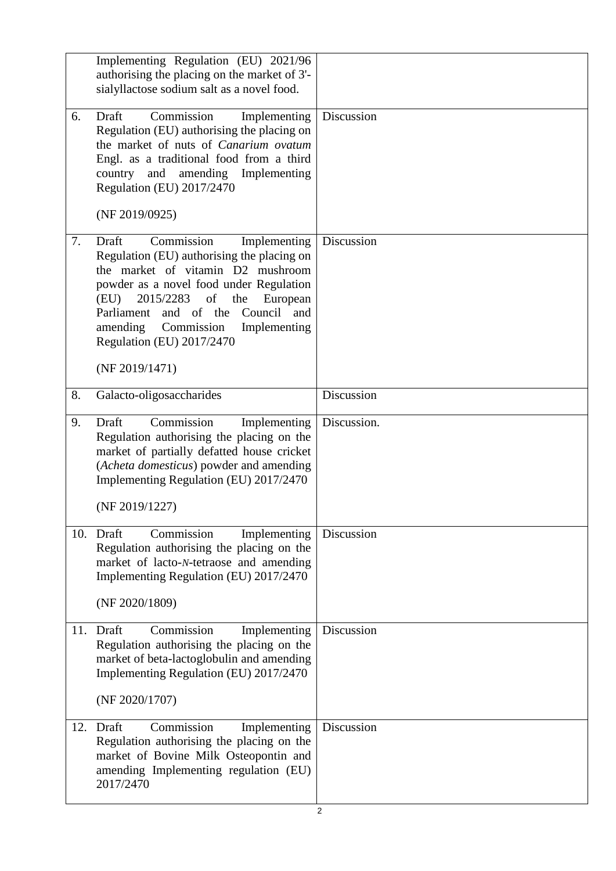|     | Implementing Regulation (EU) 2021/96<br>authorising the placing on the market of 3'-<br>sialyllactose sodium salt as a novel food.                                                                                                                                                         |             |
|-----|--------------------------------------------------------------------------------------------------------------------------------------------------------------------------------------------------------------------------------------------------------------------------------------------|-------------|
| 6.  | Commission<br>Draft<br>Implementing<br>Regulation (EU) authorising the placing on<br>the market of nuts of Canarium ovatum<br>Engl. as a traditional food from a third<br>amending Implementing<br>country and<br>Regulation (EU) 2017/2470<br>(NF 2019/0925)                              | Discussion  |
| 7.  | Commission<br>Draft<br>Implementing                                                                                                                                                                                                                                                        | Discussion  |
|     | Regulation (EU) authorising the placing on<br>the market of vitamin D2 mushroom<br>powder as a novel food under Regulation<br>of<br>2015/2283<br>the<br>(EU)<br>European<br>and of the Council<br>Parliament<br>and<br>amending<br>Commission<br>Implementing<br>Regulation (EU) 2017/2470 |             |
|     | (NF 2019/1471)                                                                                                                                                                                                                                                                             |             |
| 8.  | Galacto-oligosaccharides                                                                                                                                                                                                                                                                   | Discussion  |
| 9.  | Commission<br>Draft<br>Implementing<br>Regulation authorising the placing on the<br>market of partially defatted house cricket<br>(Acheta domesticus) powder and amending<br>Implementing Regulation (EU) 2017/2470<br>(NF 2019/1227)                                                      | Discussion. |
|     | 10. Draft<br>Commission<br>Implementing                                                                                                                                                                                                                                                    | Discussion  |
|     | Regulation authorising the placing on the<br>market of lacto-N-tetraose and amending<br>Implementing Regulation (EU) 2017/2470                                                                                                                                                             |             |
|     | (NF 2020/1809)                                                                                                                                                                                                                                                                             |             |
|     | 11. Draft<br>Commission<br>Implementing<br>Regulation authorising the placing on the<br>market of beta-lactoglobulin and amending<br>Implementing Regulation (EU) 2017/2470<br>(NF 2020/1707)                                                                                              | Discussion  |
|     |                                                                                                                                                                                                                                                                                            |             |
| 12. | Commission<br>Draft<br>Implementing<br>Regulation authorising the placing on the<br>market of Bovine Milk Osteopontin and<br>amending Implementing regulation (EU)<br>2017/2470                                                                                                            | Discussion  |